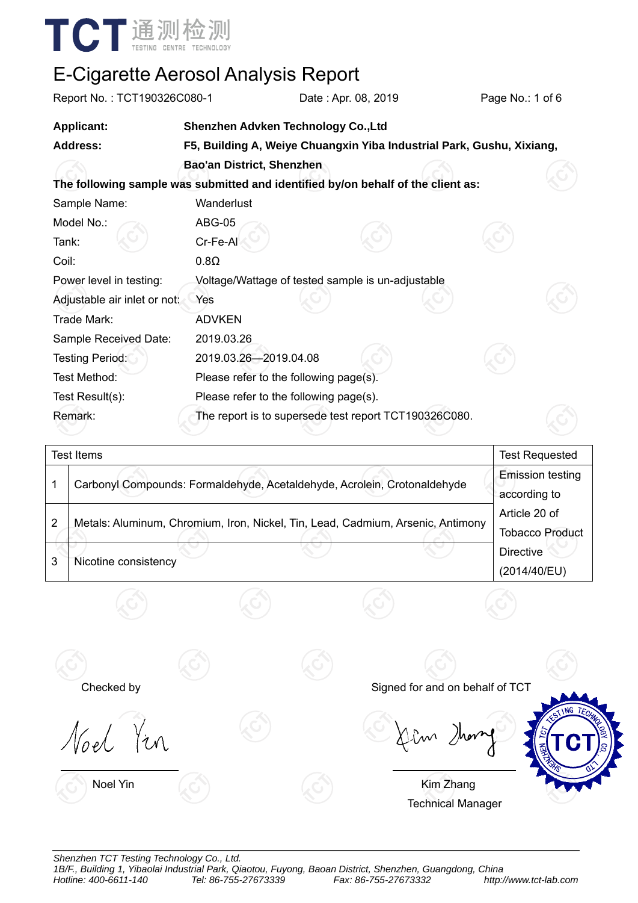

| Report No.: TCT190326C080-1                                                      |                                        | Date: Apr. 08, 2019                                                   |  | Page No.: 1 of 6 |  |  |  |  |
|----------------------------------------------------------------------------------|----------------------------------------|-----------------------------------------------------------------------|--|------------------|--|--|--|--|
| <b>Applicant:</b>                                                                | Shenzhen Advken Technology Co., Ltd    |                                                                       |  |                  |  |  |  |  |
| <b>Address:</b>                                                                  |                                        | F5, Building A, Weiye Chuangxin Yiba Industrial Park, Gushu, Xixiang, |  |                  |  |  |  |  |
|                                                                                  | <b>Bao'an District, Shenzhen</b>       |                                                                       |  |                  |  |  |  |  |
| The following sample was submitted and identified by/on behalf of the client as: |                                        |                                                                       |  |                  |  |  |  |  |
| Sample Name:                                                                     | Wanderlust                             |                                                                       |  |                  |  |  |  |  |
| Model No.:                                                                       | <b>ABG-05</b>                          |                                                                       |  |                  |  |  |  |  |
| Tank:                                                                            | Cr-Fe-Al                               |                                                                       |  |                  |  |  |  |  |
| Coil:                                                                            | $0.8\Omega$                            |                                                                       |  |                  |  |  |  |  |
| Power level in testing:                                                          |                                        | Voltage/Wattage of tested sample is un-adjustable                     |  |                  |  |  |  |  |
| Adjustable air inlet or not:                                                     | Yes                                    |                                                                       |  |                  |  |  |  |  |
| Trade Mark:                                                                      | <b>ADVKEN</b>                          |                                                                       |  |                  |  |  |  |  |
| Sample Received Date:                                                            | 2019.03.26                             |                                                                       |  |                  |  |  |  |  |
| <b>Testing Period:</b>                                                           | 2019.03.26-2019.04.08                  |                                                                       |  |                  |  |  |  |  |
| Test Method:                                                                     | Please refer to the following page(s). |                                                                       |  |                  |  |  |  |  |
| Test Result(s):                                                                  | Please refer to the following page(s). |                                                                       |  |                  |  |  |  |  |
| Remark:                                                                          |                                        | The report is to supersede test report TCT190326C080.                 |  |                  |  |  |  |  |

|   | Test Items                                                                      | <b>Test Requested</b>                   |
|---|---------------------------------------------------------------------------------|-----------------------------------------|
|   | Carbonyl Compounds: Formaldehyde, Acetaldehyde, Acrolein, Crotonaldehyde        | <b>Emission testing</b><br>according to |
| 2 | Metals: Aluminum, Chromium, Iron, Nickel, Tin, Lead, Cadmium, Arsenic, Antimony | Article 20 of<br><b>Tobacco Product</b> |
| 3 | Nicotine consistency                                                            | <b>Directive</b><br>(2014/40/EU)        |
|   |                                                                                 |                                         |

Noel You

Checked by Signed for and on behalf of TCT



Noel Yin **Kim Zhang** Technical Manager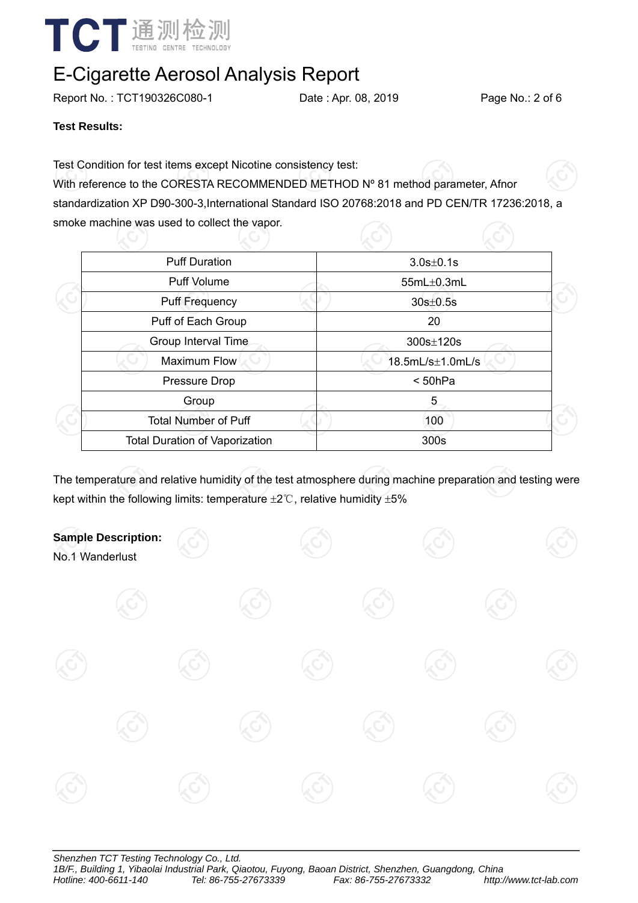

Report No.: TCT190326C080-1 Date : Apr. 08, 2019 Page No.: 2 of 6

**Test Results:** 

Test Condition for test items except Nicotine consistency test:

With reference to the CORESTA RECOMMENDED METHOD Nº 81 method parameter, Afnor standardization XP D90-300-3,International Standard ISO 20768:2018 and PD CEN/TR 17236:2018, a smoke machine was used to collect the vapor.

| <b>Puff Duration</b>                  | $3.0s \pm 0.1s$  |  |
|---------------------------------------|------------------|--|
| Puff Volume                           | 55mL±0.3mL       |  |
| <b>Puff Frequency</b>                 | $30s \pm 0.5s$   |  |
| Puff of Each Group                    | 20               |  |
| Group Interval Time                   | 300s±120s        |  |
| <b>Maximum Flow</b>                   | 18.5mL/s±1.0mL/s |  |
| Pressure Drop                         | < 50hPa          |  |
| Group                                 | 5                |  |
| <b>Total Number of Puff</b>           | 100              |  |
| <b>Total Duration of Vaporization</b> | 300s             |  |
|                                       |                  |  |

The temperature and relative humidity of the test atmosphere during machine preparation and testing were kept within the following limits: temperature  $\pm 2^{\circ}$ C, relative humidity  $\pm 5\%$ 

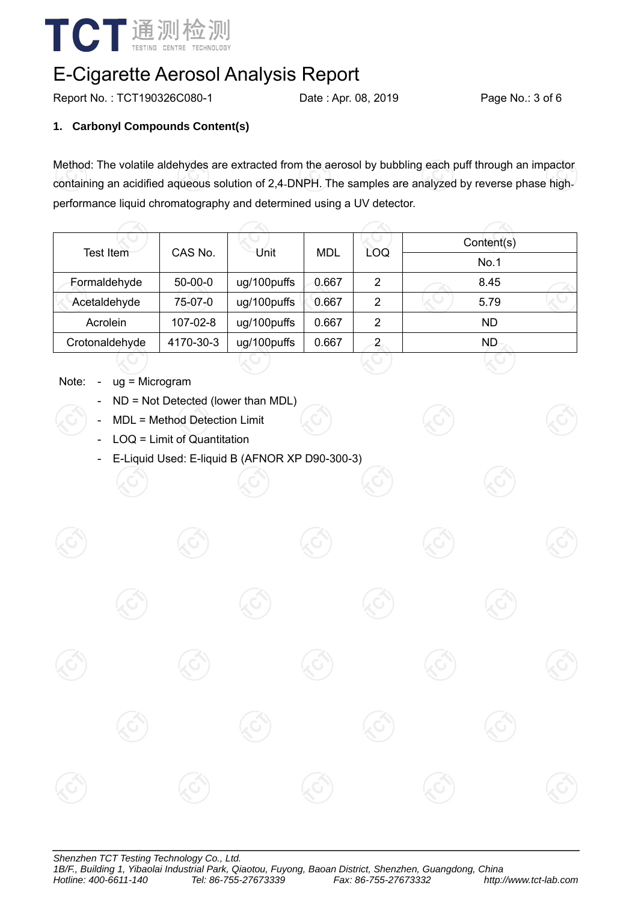

Report No.: TCT190326C080-1 Date : Apr. 08, 2019 Page No.: 3 of 6

### **1. Carbonyl Compounds Content(s)**

Method: The volatile aldehydes are extracted from the aerosol by bubbling each puff through an impactor containing an acidified aqueous solution of 2,4-DNPH. The samples are analyzed by reverse phase highperformance liquid chromatography and determined using a UV detector.

|                | CAS No.   | Unit        | MDL   | LOQ            | Content(s) |  |  |
|----------------|-----------|-------------|-------|----------------|------------|--|--|
| Test Item      |           |             |       |                | No.1       |  |  |
| Formaldehyde   | $50-00-0$ | ug/100puffs | 0.667 | $\overline{2}$ | 8.45       |  |  |
| Acetaldehyde   | 75-07-0   | ug/100puffs | 0.667 | 2              | 5.79       |  |  |
| Acrolein       | 107-02-8  | ug/100puffs | 0.667 | 2              | <b>ND</b>  |  |  |
| Crotonaldehyde | 4170-30-3 | ug/100puffs | 0.667 | 2              | ND.        |  |  |

- Note: ug = Microgram
	- ND = Not Detected (lower than MDL)
	- MDL = Method Detection Limit
	- LOQ = Limit of Quantitation
	- E-Liquid Used: E-liquid B (AFNOR XP D90-300-3)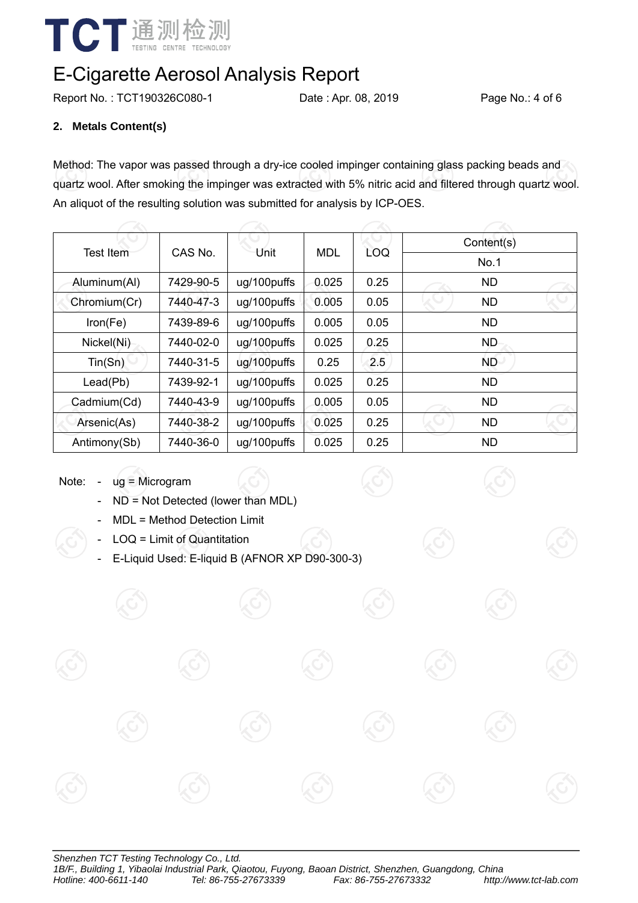

Report No.: TCT190326C080-1 Date : Apr. 08, 2019 Page No.: 4 of 6

#### **2. Metals Content(s)**

Method: The vapor was passed through a dry-ice cooled impinger containing glass packing beads and quartz wool. After smoking the impinger was extracted with 5% nitric acid and filtered through quartz wool. An aliquot of the resulting solution was submitted for analysis by ICP-OES.

|                  |           |                 |            | Content(s) |           |  |
|------------------|-----------|-----------------|------------|------------|-----------|--|
| <b>Test Item</b> |           | CAS No.<br>Unit | <b>MDL</b> | LOQ        | No.1      |  |
| Aluminum(Al)     | 7429-90-5 | ug/100puffs     | 0.025      | 0.25       | <b>ND</b> |  |
| Chromium(Cr)     | 7440-47-3 | ug/100puffs     | 0.005      | 0.05       | <b>ND</b> |  |
| Iron(Fe)         | 7439-89-6 | ug/100puffs     | 0.005      | 0.05       | <b>ND</b> |  |
| Nickel(Ni)       | 7440-02-0 | ug/100puffs     | 0.025      | 0.25       | ND        |  |
| Tin(Sn)          | 7440-31-5 | ug/100puffs     | 0.25       | 2.5        | ND.       |  |
| Lead(Pb)         | 7439-92-1 | ug/100puffs     | 0.025      | 0.25       | <b>ND</b> |  |
| Cadmium(Cd)      | 7440-43-9 | ug/100puffs     | 0.005      | 0.05       | <b>ND</b> |  |
| Arsenic(As)      | 7440-38-2 | ug/100puffs     | 0.025      | 0.25       | <b>ND</b> |  |
| Antimony(Sb)     | 7440-36-0 | ug/100puffs     | 0.025      | 0.25       | <b>ND</b> |  |

Note: - ug = Microgram

- ND = Not Detected (lower than MDL)
- MDL = Method Detection Limit
- LOQ = Limit of Quantitation
- E-Liquid Used: E-liquid B (AFNOR XP D90-300-3)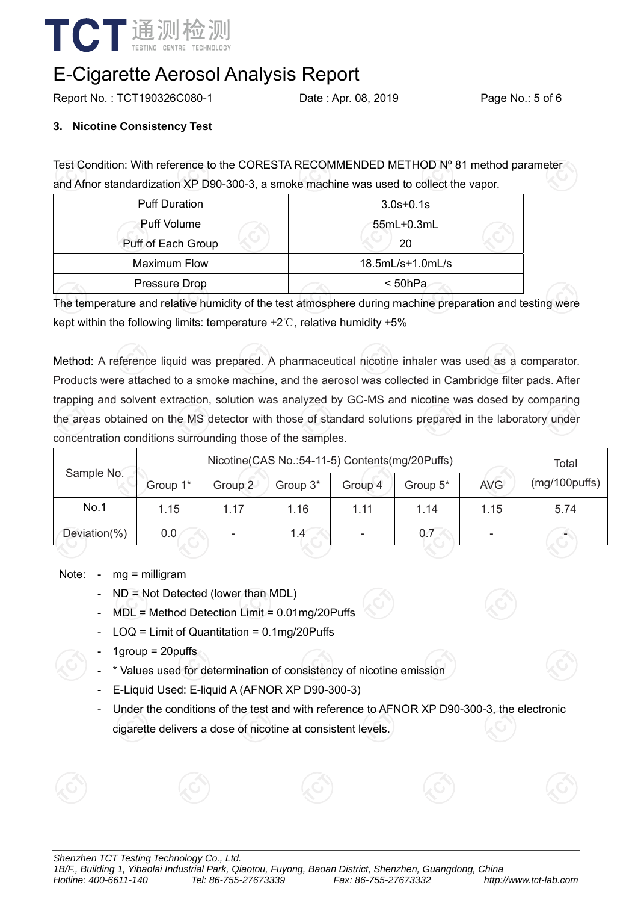

Report No.: TCT190326C080-1 Date: Apr. 08, 2019 Page No.: 5 of 6

#### **3. Nicotine Consistency Test**

Test Condition: With reference to the CORESTA RECOMMENDED METHOD Nº 81 method parameter and Afnor standardization XP D90-300-3, a smoke machine was used to collect the vapor.

| <b>Puff Duration</b> | $3.0s \pm 0.1s$      |  |  |  |
|----------------------|----------------------|--|--|--|
| <b>Puff Volume</b>   | $55mL\pm0.3mL$       |  |  |  |
| Puff of Each Group   | 20                   |  |  |  |
| <b>Maximum Flow</b>  | $18.5mL/s\pm1.0mL/s$ |  |  |  |
| Pressure Drop        | < 50hPa              |  |  |  |

The temperature and relative humidity of the test atmosphere during machine preparation and testing were kept within the following limits: temperature  $\pm 2^{\circ}$ C, relative humidity  $\pm 5\%$ 

Method: A reference liquid was prepared. A pharmaceutical nicotine inhaler was used as a comparator. Products were attached to a smoke machine, and the aerosol was collected in Cambridge filter pads. After trapping and solvent extraction, solution was analyzed by GC-MS and nicotine was dosed by comparing the areas obtained on the MS detector with those of standard solutions prepared in the laboratory under concentration conditions surrounding those of the samples.

|              | Nicotine (CAS No.: 54-11-5) Contents (mg/20Puffs) |         |          |         |          |            | Total         |
|--------------|---------------------------------------------------|---------|----------|---------|----------|------------|---------------|
| Sample No.   | Group 1*                                          | Group 2 | Group 3* | Group 4 | Group 5* | <b>AVG</b> | (mg/100puffs) |
| No.1         | 1.15                                              | 1.17    | 1.16     | 1.11    | 1.14     | 1.15       | 5.74          |
| Deviation(%) | 0.0                                               |         | 1.4      |         | 0.7      |            |               |
|              |                                                   |         |          |         |          |            |               |

Note: - mg = milligram

- ND = Not Detected (lower than MDL)
- MDL = Method Detection Limit = 0.01mg/20Puffs
- LOQ = Limit of Quantitation = 0.1mg/20Puffs
- $1$ group =  $20$ puffs
- \* Values used for determination of consistency of nicotine emission
- E-Liquid Used: E-liquid A (AFNOR XP D90-300-3)
- Under the conditions of the test and with reference to AFNOR XP D90-300-3, the electronic cigarette delivers a dose of nicotine at consistent levels.